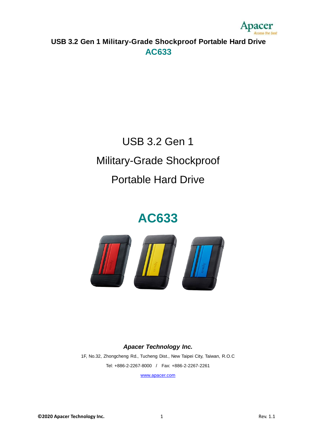

# USB 3.2 Gen 1 Military-Grade Shockproof Portable Hard Drive

# **AC633**



#### *Apacer Technology Inc.*

1F, No.32, Zhongcheng Rd., Tucheng Dist., New Taipei City, Taiwan, R.O.C Tel: +886-2-2267-8000 / Fax: +886-2-2267-2261

[www.apacer.com](http://www.apacer.com/)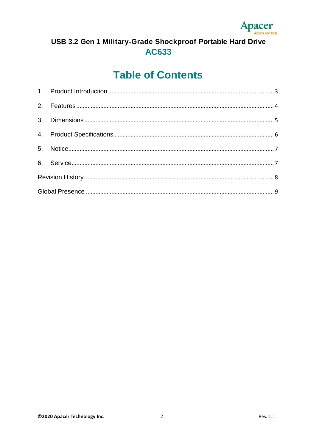

### **Table of Contents**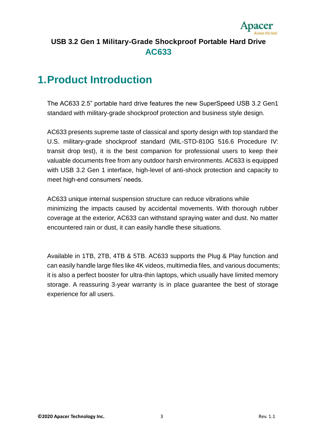

### <span id="page-2-0"></span>**1.Product Introduction**

The AC633 2.5" portable hard drive features the new SuperSpeed USB 3.2 Gen1 standard with military-grade shockproof protection and business style design.

AC633 presents supreme taste of classical and sporty design with top standard the U.S. military-grade shockproof standard (MIL-STD-810G 516.6 Procedure IV: transit drop test), it is the best companion for professional users to keep their valuable documents free from any outdoor harsh environments. AC633 is equipped with USB 3.2 Gen 1 interface, high-level of anti-shock protection and capacity to meet high-end consumers' needs.

AC633 unique internal suspension structure can reduce vibrations while minimizing the impacts caused by accidental movements. With thorough rubber coverage at the exterior, AC633 can withstand spraying water and dust. No matter encountered rain or dust, it can easily handle these situations.

Available in 1TB, 2TB, 4TB & 5TB. AC633 supports the Plug & Play function and can easily handle large files like 4K videos, multimedia files, and various documents; it is also a perfect booster for ultra-thin laptops, which usually have limited memory storage. A reassuring 3-year warranty is in place guarantee the best of storage experience for all users.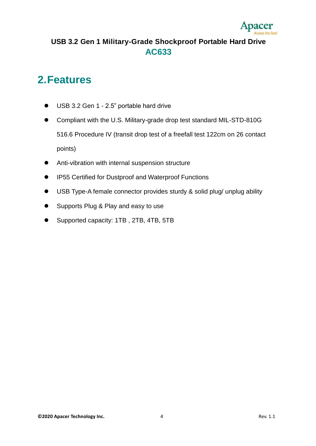

### <span id="page-3-0"></span>**2.Features**

- USB 3.2 Gen 1 2.5" portable hard drive
- Compliant with the U.S. Military-grade drop test standard MIL-STD-810G 516.6 Procedure IV (transit drop test of a freefall test 122cm on 26 contact points)
- Anti-vibration with internal suspension structure
- IP55 Certified for Dustproof and Waterproof Functions
- USB Type-A female connector provides sturdy & solid plug/ unplug ability
- Supports Plug & Play and easy to use
- Supported capacity: 1TB , 2TB, 4TB, 5TB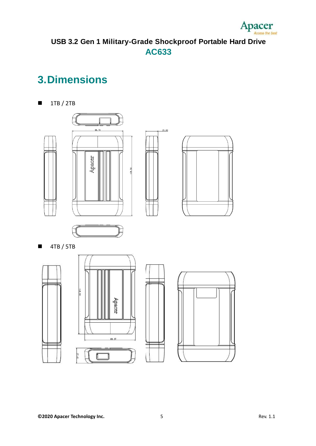

# <span id="page-4-0"></span>**3.Dimensions**

 $\blacksquare$  1TB / 2TB

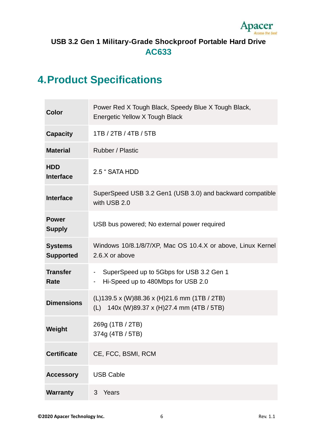

# <span id="page-5-0"></span>**4.Product Specifications**

m.

| <b>Color</b>                       | Power Red X Tough Black, Speedy Blue X Tough Black,<br>Energetic Yellow X Tough Black                                        |
|------------------------------------|------------------------------------------------------------------------------------------------------------------------------|
| <b>Capacity</b>                    | 1TB / 2TB / 4TB / 5TB                                                                                                        |
| <b>Material</b>                    | Rubber / Plastic                                                                                                             |
| <b>HDD</b><br><b>Interface</b>     | 2.5 " SATA HDD                                                                                                               |
| <b>Interface</b>                   | SuperSpeed USB 3.2 Gen1 (USB 3.0) and backward compatible<br>with USB 2.0                                                    |
| <b>Power</b><br><b>Supply</b>      | USB bus powered; No external power required                                                                                  |
| <b>Systems</b><br><b>Supported</b> | Windows 10/8.1/8/7/XP, Mac OS 10.4.X or above, Linux Kernel<br>2.6.X or above                                                |
| <b>Transfer</b><br>Rate            | SuperSpeed up to 5Gbps for USB 3.2 Gen 1<br>$\blacksquare$<br>Hi-Speed up to 480Mbps for USB 2.0<br>$\overline{\phantom{a}}$ |
| <b>Dimensions</b>                  | (L)139.5 x (W)88.36 x (H)21.6 mm (1TB / 2TB)<br>(L) 140x (W)89.37 x (H)27.4 mm (4TB / 5TB)                                   |
| Weight                             | 269g (1TB / 2TB)<br>374g (4TB / 5TB)                                                                                         |
| <b>Certificate</b>                 | CE, FCC, BSMI, RCM                                                                                                           |
| <b>Accessory</b>                   | <b>USB Cable</b>                                                                                                             |
| <b>Warranty</b>                    | 3<br>Years                                                                                                                   |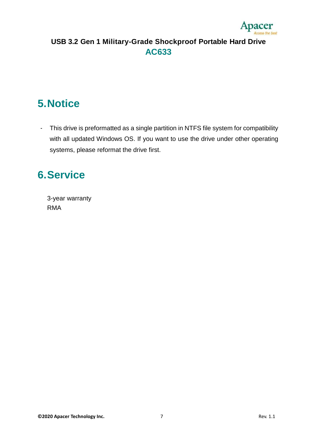

## <span id="page-6-0"></span>**5.Notice**

- This drive is preformatted as a single partition in NTFS file system for compatibility with all updated Windows OS. If you want to use the drive under other operating systems, please reformat the drive first.

### <span id="page-6-1"></span>**6.Service**

3-year warranty RMA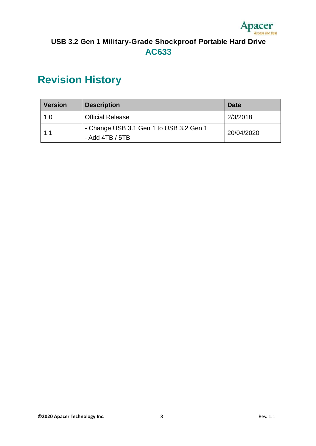

# <span id="page-7-0"></span>**Revision History**

| <b>Version</b> | <b>Description</b>                                           | <b>Date</b> |
|----------------|--------------------------------------------------------------|-------------|
| 1.0            | <b>Official Release</b>                                      | 2/3/2018    |
| 1.1            | - Change USB 3.1 Gen 1 to USB 3.2 Gen 1<br>- Add $4TB / 5TB$ | 20/04/2020  |